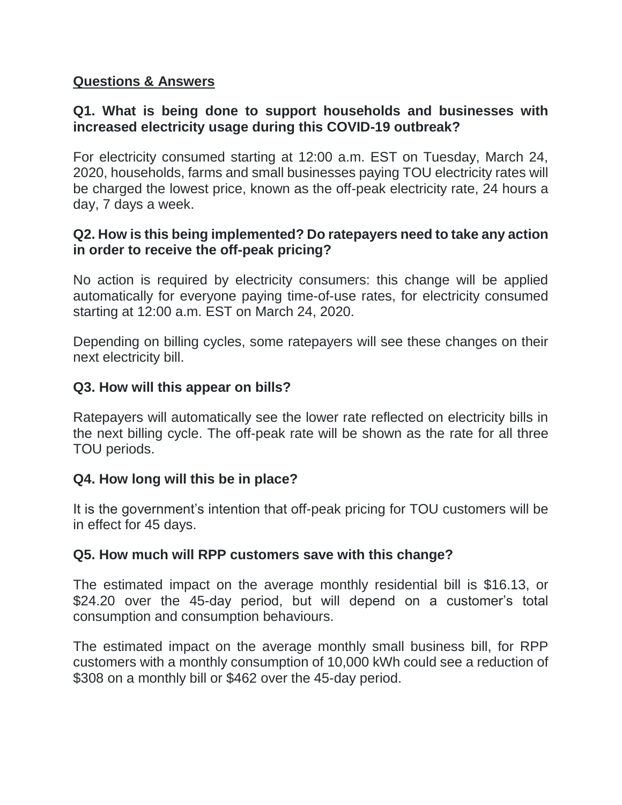## **Questions & Answers**

# **Q1. What is being done to support households and businesses with increased electricity usage during this COVID-19 outbreak?**

For electricity consumed starting at 12:00 a.m. EST on Tuesday, March 24, 2020, households, farms and small businesses paying TOU electricity rates will be charged the lowest price, known as the off-peak electricity rate, 24 hours a day, 7 days a week.

#### **Q2. How is this being implemented? Do ratepayers need to take any action in order to receive the off-peak pricing?**

No action is required by electricity consumers: this change will be applied automatically for everyone paying time-of-use rates, for electricity consumed starting at 12:00 a.m. EST on March 24, 2020.

Depending on billing cycles, some ratepayers will see these changes on their next electricity bill.

## **Q3. How will this appear on bills?**

Ratepayers will automatically see the lower rate reflected on electricity bills in the next billing cycle. The off-peak rate will be shown as the rate for all three TOU periods.

## **Q4. How long will this be in place?**

It is the government's intention that off-peak pricing for TOU customers will be in effect for 45 days.

## **Q5. How much will RPP customers save with this change?**

The estimated impact on the average monthly residential bill is \$16.13, or \$24.20 over the 45-day period, but will depend on a customer's total consumption and consumption behaviours.

The estimated impact on the average monthly small business bill, for RPP customers with a monthly consumption of 10,000 kWh could see a reduction of \$308 on a monthly bill or \$462 over the 45-day period.